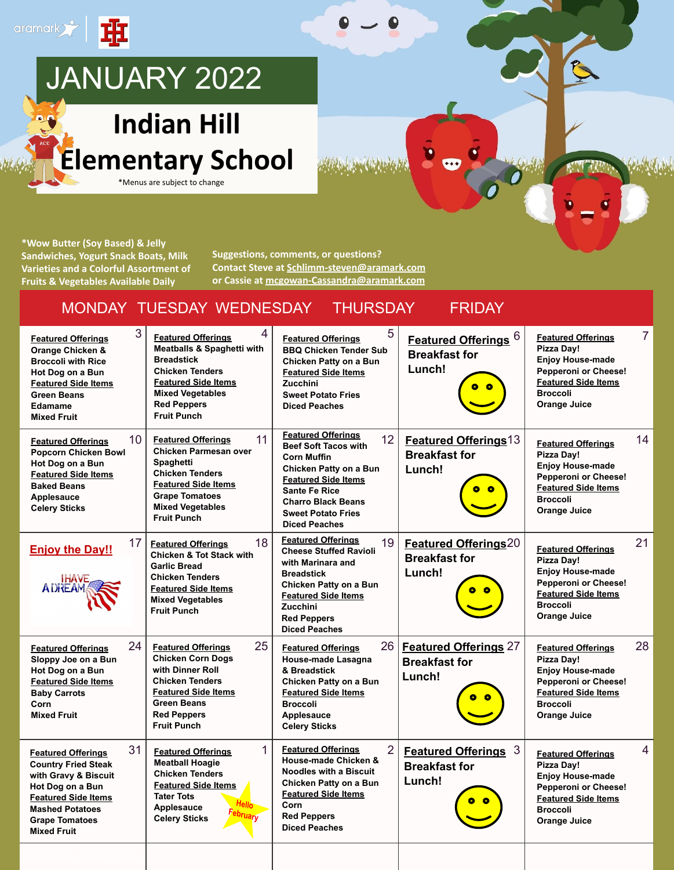

**\*Wow Butter (Soy Based) & Jelly Sandwiches, Yogurt Snack Boats, Milk Varieties and a Colorful Assortment of Fruits & Vegetables Available Daily**

**Suggestions, comments, or questions? Contact Steve at [Schlimm-steven@aramark.com](mailto:Schlimm-steven@aramark.com) or Cassie at [mcgowan-Cassandra@aramark.com](mailto:mcgowan-Cassandra@aramark.com)**

#### MONDAY TUESDAY WEDNESDAY THURSDAY FRIDAY

| 3<br><b>Featured Offerings</b><br>Orange Chicken &<br><b>Broccoli with Rice</b><br>Hot Dog on a Bun<br><b>Featured Side Items</b><br><b>Green Beans</b><br>Edamame<br><b>Mixed Fruit</b>                         | 4<br><b>Featured Offerings</b><br><b>Meatballs &amp; Spaghetti with</b><br><b>Breadstick</b><br><b>Chicken Tenders</b><br><b>Featured Side Items</b><br><b>Mixed Vegetables</b><br><b>Red Peppers</b><br><b>Fruit Punch</b> | 5<br><b>Featured Offerings</b><br><b>BBQ Chicken Tender Sub</b><br>Chicken Patty on a Bun<br><b>Featured Side Items</b><br>Zucchini<br><b>Sweet Potato Fries</b><br><b>Diced Peaches</b>                                                                            | Featured Offerings 6<br><b>Breakfast for</b><br>Lunch!         | <b>Featured Offerings</b><br>Pizza Day!<br>Enjoy House-made<br><b>Pepperoni or Cheese!</b><br><b>Featured Side Items</b><br><b>Broccoli</b><br>Orange Juice               | $\overline{7}$ |
|------------------------------------------------------------------------------------------------------------------------------------------------------------------------------------------------------------------|-----------------------------------------------------------------------------------------------------------------------------------------------------------------------------------------------------------------------------|---------------------------------------------------------------------------------------------------------------------------------------------------------------------------------------------------------------------------------------------------------------------|----------------------------------------------------------------|---------------------------------------------------------------------------------------------------------------------------------------------------------------------------|----------------|
| 10 <sup>°</sup><br><b>Featured Offerings</b><br><b>Popcorn Chicken Bowl</b><br>Hot Dog on a Bun<br><b>Featured Side Items</b><br><b>Baked Beans</b><br>Applesauce<br><b>Celery Sticks</b>                        | 11<br><b>Featured Offerings</b><br>Chicken Parmesan over<br>Spaghetti<br><b>Chicken Tenders</b><br><b>Featured Side Items</b><br><b>Grape Tomatoes</b><br><b>Mixed Vegetables</b><br><b>Fruit Punch</b>                     | <b>Featured Offerings</b><br>12 <sup>2</sup><br><b>Beef Soft Tacos with</b><br><b>Corn Muffin</b><br>Chicken Patty on a Bun<br><b>Featured Side Items</b><br><b>Sante Fe Rice</b><br><b>Charro Black Beans</b><br><b>Sweet Potato Fries</b><br><b>Diced Peaches</b> | <b>Featured Offerings13</b><br><b>Breakfast for</b><br>Lunch!  | <b>Featured Offerings</b><br>Pizza Day!<br><b>Enjoy House-made</b><br>Pepperoni or Cheese!<br><b>Featured Side Items</b><br><b>Broccoli</b><br><b>Orange Juice</b>        | 14             |
| 17<br><b>Enjoy the Day!!</b><br><b>IHAVE</b><br><b>ADREAM</b>                                                                                                                                                    | 18<br><b>Featured Offerings</b><br><b>Chicken &amp; Tot Stack with</b><br><b>Garlic Bread</b><br><b>Chicken Tenders</b><br><b>Featured Side Items</b><br><b>Mixed Vegetables</b><br><b>Fruit Punch</b>                      | <b>Featured Offerings</b><br>19<br><b>Cheese Stuffed Ravioli</b><br>with Marinara and<br><b>Breadstick</b><br>Chicken Patty on a Bun<br><b>Featured Side Items</b><br><b>Zucchini</b><br><b>Red Peppers</b><br><b>Diced Peaches</b>                                 | <b>Featured Offerings20</b><br><b>Breakfast for</b><br>Lunch!  | <b>Featured Offerings</b><br>Pizza Day!<br>Enjoy House-made<br><b>Pepperoni or Cheese!</b><br><b>Featured Side Items</b><br><b>Broccoli</b><br><b>Orange Juice</b>        | 21             |
| 24<br><b>Featured Offerings</b><br>Sloppy Joe on a Bun<br>Hot Dog on a Bun<br><b>Featured Side Items</b><br><b>Baby Carrots</b><br>Corn<br><b>Mixed Fruit</b>                                                    | 25<br><b>Featured Offerings</b><br><b>Chicken Corn Dogs</b><br>with Dinner Roll<br><b>Chicken Tenders</b><br><b>Featured Side Items</b><br><b>Green Beans</b><br><b>Red Peppers</b><br><b>Fruit Punch</b>                   | 26<br><b>Featured Offerings</b><br>House-made Lasagna<br>& Breadstick<br>Chicken Patty on a Bun<br><b>Featured Side Items</b><br><b>Broccoli</b><br>Applesauce<br><b>Celery Sticks</b>                                                                              | <b>Featured Offerings 27</b><br><b>Breakfast for</b><br>Lunch! | <b>Featured Offerings</b><br><b>Pizza Day!</b><br>Enjoy House-made<br><b>Pepperoni or Cheese!</b><br><b>Featured Side Items</b><br><b>Broccoli</b><br>Orange Juice        | 28             |
| 31<br><b>Featured Offerings</b><br><b>Country Fried Steak</b><br>with Gravy & Biscuit<br>Hot Dog on a Bun<br><b>Featured Side Items</b><br><b>Mashed Potatoes</b><br><b>Grape Tomatoes</b><br><b>Mixed Fruit</b> | 1<br><b>Featured Offerings</b><br><b>Meatball Hoagie</b><br><b>Chicken Tenders</b><br><b>Featured Side Items</b><br><b>Tater Tots</b><br>Applesauce<br>bruary<br><b>Celery Sticks</b>                                       | 2<br><b>Featured Offerings</b><br>House-made Chicken &<br><b>Noodles with a Biscuit</b><br>Chicken Patty on a Bun<br><b>Featured Side Items</b><br>Corn<br><b>Red Peppers</b><br><b>Diced Peaches</b>                                                               | Featured Offerings 3<br><b>Breakfast for</b><br>Lunch!         | <b>Featured Offerings</b><br>Pizza Day!<br><b>Enjoy House-made</b><br><b>Pepperoni or Cheese!</b><br><b>Featured Side Items</b><br><b>Broccoli</b><br><b>Orange Juice</b> | 4              |
|                                                                                                                                                                                                                  |                                                                                                                                                                                                                             |                                                                                                                                                                                                                                                                     |                                                                |                                                                                                                                                                           |                |